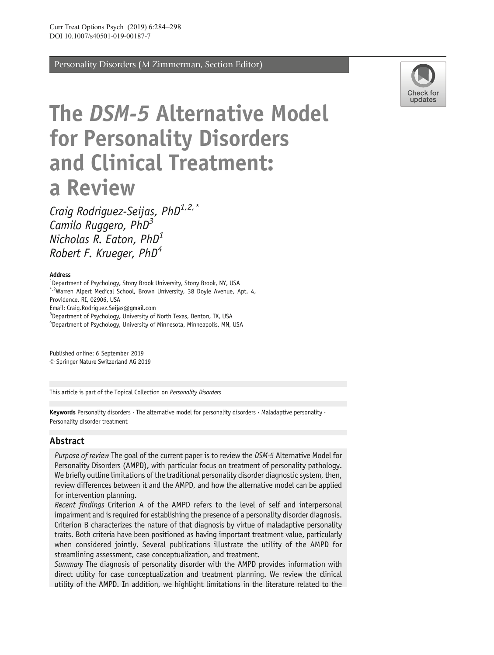Personality Disorders (M Zimmerman, Section Editor)



# The DSM-5 Alternative Model for Personality Disorders and Clinical Treatment: a Review

Craig Rodriguez-Seijas, PhD<sup>1,2,\*</sup> Camilo Ruggero,  $PhD<sup>3</sup>$ Nicholas R. Eaton, PhD<sup>1</sup> Robert F. Krueger,  $PhD<sup>4</sup>$ 

#### Address

<sup>1</sup>Department of Psychology, Stony Brook University, Stony Brook, NY, USA \*,2Warren Alpert Medical School, Brown University, 38 Doyle Avenue, Apt. 4,

Providence, RI, 02906, USA

Email: Craig.Rodriguez.Seijas@gmail.com

<sup>3</sup>Department of Psychology, University of North Texas, Denton, TX, USA

4 Department of Psychology, University of Minnesota, Minneapolis, MN, USA

 $\circ$  Springer Nature Switzerland AG 2019 Published online: 6 September 2019

This article is part of the Topical Collection on Personality Disorders

Keywords Personality disorders  $\cdot$  The alternative model for personality disorders  $\cdot$  Maladaptive personality  $\cdot$ Personality disorder treatment

### Abstract

Purpose of review The goal of the current paper is to review the DSM-5 Alternative Model for Personality Disorders (AMPD), with particular focus on treatment of personality pathology. We briefly outline limitations of the traditional personality disorder diagnostic system, then, review differences between it and the AMPD, and how the alternative model can be applied for intervention planning.

Recent findings Criterion A of the AMPD refers to the level of self and interpersonal impairment and is required for establishing the presence of a personality disorder diagnosis. Criterion B characterizes the nature of that diagnosis by virtue of maladaptive personality traits. Both criteria have been positioned as having important treatment value, particularly when considered jointly. Several publications illustrate the utility of the AMPD for streamlining assessment, case conceptualization, and treatment.

Summary The diagnosis of personality disorder with the AMPD provides information with direct utility for case conceptualization and treatment planning. We review the clinical utility of the AMPD. In addition, we highlight limitations in the literature related to the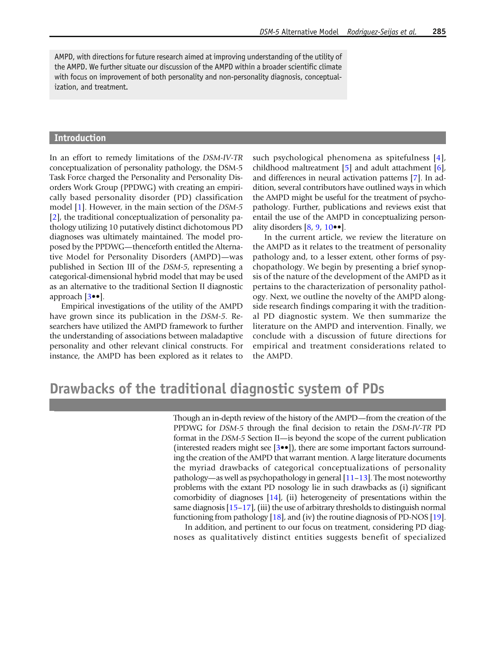AMPD, with directions for future research aimed at improving understanding of the utility of the AMPD. We further situate our discussion of the AMPD within a broader scientific climate with focus on improvement of both personality and non-personality diagnosis, conceptualization, and treatment.

#### Introduction

In an effort to remedy limitations of the DSM-IV-TR conceptualization of personality pathology, the DSM-5 Task Force charged the Personality and Personality Disorders Work Group (PPDWG) with creating an empirically based personality disorder (PD) classification model [\[1\]](#page-10-0). However, in the main section of the DSM-5 [\[2\]](#page-11-0), the traditional conceptualization of personality pathology utilizing 10 putatively distinct dichotomous PD diagnoses was ultimately maintained. The model proposed by the PPDWG—thenceforth entitled the Alternative Model for Personality Disorders (AMPD)—was published in Section III of the DSM-5, representing a categorical-dimensional hybrid model that may be used as an alternative to the traditional Section II diagnostic approach [\[3](#page-11-0)••].

Empirical investigations of the utility of the AMPD have grown since its publication in the DSM-5. Researchers have utilized the AMPD framework to further the understanding of associations between maladaptive personality and other relevant clinical constructs. For instance, the AMPD has been explored as it relates to such psychological phenomena as spitefulness [[4\]](#page-11-0), childhood maltreatment [[5](#page-11-0)] and adult attachment [[6](#page-11-0)], and differences in neural activation patterns [\[7\]](#page-11-0). In addition, several contributors have outlined ways in which the AMPD might be useful for the treatment of psychopathology. Further, publications and reviews exist that entail the use of the AMPD in conceptualizing personality disorders  $[8, 9, 10 \bullet \bullet]$  $[8, 9, 10 \bullet \bullet]$  $[8, 9, 10 \bullet \bullet]$  $[8, 9, 10 \bullet \bullet]$  $[8, 9, 10 \bullet \bullet]$  $[8, 9, 10 \bullet \bullet]$ .

In the current article, we review the literature on the AMPD as it relates to the treatment of personality pathology and, to a lesser extent, other forms of psychopathology. We begin by presenting a brief synopsis of the nature of the development of the AMPD as it pertains to the characterization of personality pathology. Next, we outline the novelty of the AMPD alongside research findings comparing it with the traditional PD diagnostic system. We then summarize the literature on the AMPD and intervention. Finally, we conclude with a discussion of future directions for empirical and treatment considerations related to the AMPD.

## Drawbacks of the traditional diagnostic system of PDs

Though an in-depth review of the history of the AMPD—from the creation of the PPDWG for DSM-5 through the final decision to retain the DSM-IV-TR PD format in the DSM-5 Section II—is beyond the scope of the current publication (interested readers might see [\[3](#page-11-0)••]), there are some important factors surrounding the creation of the AMPD that warrant mention. A large literature documents the myriad drawbacks of categorical conceptualizations of personality pathology—as well as psychopathology in general  $[11-13]$  $[11-13]$  $[11-13]$  $[11-13]$  $[11-13]$ . The most noteworthy problems with the extant PD nosology lie in such drawbacks as (i) significant comorbidity of diagnoses [[14](#page-11-0)], (ii) heterogeneity of presentations within the same diagnosis  $[15-17]$  $[15-17]$  $[15-17]$ , (iii) the use of arbitrary thresholds to distinguish normal functioning from pathology [\[18](#page-11-0)], and (iv) the routine diagnosis of PD-NOS [[19](#page-11-0)].

In addition, and pertinent to our focus on treatment, considering PD diagnoses as qualitatively distinct entities suggests benefit of specialized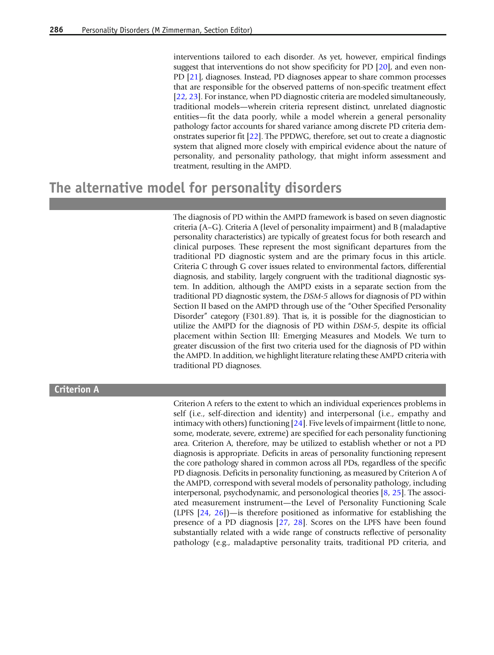interventions tailored to each disorder. As yet, however, empirical findings suggest that interventions do not show specificity for PD [\[20](#page-11-0)], and even non-PD [[21](#page-11-0)], diagnoses. Instead, PD diagnoses appear to share common processes that are responsible for the observed patterns of non-specific treatment effect [[22](#page-11-0), [23\]](#page-11-0). For instance, when PD diagnostic criteria are modeled simultaneously, traditional models—wherein criteria represent distinct, unrelated diagnostic entities—fit the data poorly, while a model wherein a general personality pathology factor accounts for shared variance among discrete PD criteria demonstrates superior fit [[22\]](#page-11-0). The PPDWG, therefore, set out to create a diagnostic system that aligned more closely with empirical evidence about the nature of personality, and personality pathology, that might inform assessment and treatment, resulting in the AMPD.

### The alternative model for personality disorders

The diagnosis of PD within the AMPD framework is based on seven diagnostic criteria (A–G). Criteria A (level of personality impairment) and B (maladaptive personality characteristics) are typically of greatest focus for both research and clinical purposes. These represent the most significant departures from the traditional PD diagnostic system and are the primary focus in this article. Criteria C through G cover issues related to environmental factors, differential diagnosis, and stability, largely congruent with the traditional diagnostic system. In addition, although the AMPD exists in a separate section from the traditional PD diagnostic system, the DSM-5 allows for diagnosis of PD within Section II based on the AMPD through use of the "Other Specified Personality Disorder" category (F301.89). That is, it is possible for the diagnostician to utilize the AMPD for the diagnosis of PD within DSM-5, despite its official placement within Section III: Emerging Measures and Models. We turn to greater discussion of the first two criteria used for the diagnosis of PD within the AMPD. In addition, we highlight literature relating these AMPD criteria with traditional PD diagnoses.

#### Criterion A

Criterion A refers to the extent to which an individual experiences problems in self (i.e., self-direction and identity) and interpersonal (i.e., empathy and intimacy with others) functioning [\[24\]](#page-11-0). Five levels of impairment (little to none, some, moderate, severe, extreme) are specified for each personality functioning area. Criterion A, therefore, may be utilized to establish whether or not a PD diagnosis is appropriate. Deficits in areas of personality functioning represent the core pathology shared in common across all PDs, regardless of the specific PD diagnosis. Deficits in personality functioning, as measured by Criterion A of the AMPD, correspond with several models of personality pathology, including interpersonal, psychodynamic, and personological theories [[8,](#page-11-0) [25\]](#page-11-0). The associated measurement instrument—the Level of Personality Functioning Scale (LPFS [\[24](#page-11-0), [26](#page-11-0)])—is therefore positioned as informative for establishing the presence of a PD diagnosis [\[27](#page-11-0), [28\]](#page-11-0). Scores on the LPFS have been found substantially related with a wide range of constructs reflective of personality pathology (e.g., maladaptive personality traits, traditional PD criteria, and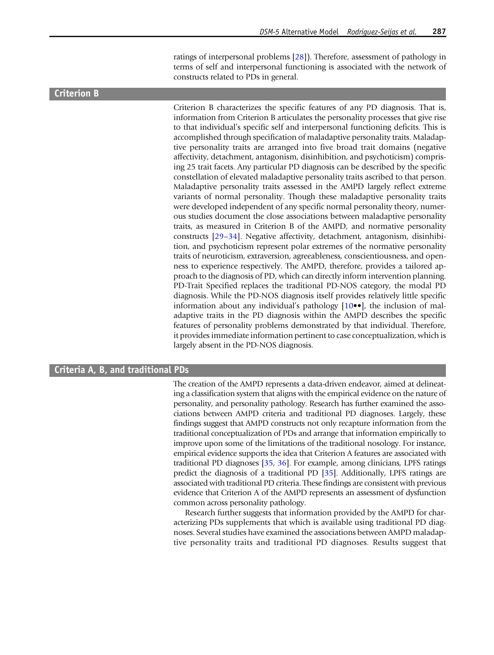ratings of interpersonal problems [[28](#page-11-0)]). Therefore, assessment of pathology in terms of self and interpersonal functioning is associated with the network of constructs related to PDs in general.

### Criterion B

Criterion B characterizes the specific features of any PD diagnosis. That is, information from Criterion B articulates the personality processes that give rise to that individual's specific self and interpersonal functioning deficits. This is accomplished through specification of maladaptive personality traits. Maladaptive personality traits are arranged into five broad trait domains (negative affectivity, detachment, antagonism, disinhibition, and psychoticism) comprising 25 trait facets. Any particular PD diagnosis can be described by the specific constellation of elevated maladaptive personality traits ascribed to that person. Maladaptive personality traits assessed in the AMPD largely reflect extreme variants of normal personality. Though these maladaptive personality traits were developed independent of any specific normal personality theory, numerous studies document the close associations between maladaptive personality traits, as measured in Criterion B of the AMPD, and normative personality constructs [\[29](#page-11-0)–[34](#page-12-0)]. Negative affectivity, detachment, antagonism, disinhibition, and psychoticism represent polar extremes of the normative personality traits of neuroticism, extraversion, agreeableness, conscientiousness, and openness to experience respectively. The AMPD, therefore, provides a tailored approach to the diagnosis of PD, which can directly inform intervention planning. PD-Trait Specified replaces the traditional PD-NOS category, the modal PD diagnosis. While the PD-NOS diagnosis itself provides relatively little specific information about any individual's pathology [\[10](#page-11-0)••], the inclusion of maladaptive traits in the PD diagnosis within the AMPD describes the specific features of personality problems demonstrated by that individual. Therefore, it provides immediate information pertinent to case conceptualization, which is largely absent in the PD-NOS diagnosis.

### Criteria A, B, and traditional PDs

The creation of the AMPD represents a data-driven endeavor, aimed at delineating a classification system that aligns with the empirical evidence on the nature of personality, and personality pathology. Research has further examined the associations between AMPD criteria and traditional PD diagnoses. Largely, these findings suggest that AMPD constructs not only recapture information from the traditional conceptualization of PDs and arrange that information empirically to improve upon some of the limitations of the traditional nosology. For instance, empirical evidence supports the idea that Criterion A features are associated with traditional PD diagnoses [[35](#page-12-0), [36](#page-12-0)]. For example, among clinicians, LPFS ratings predict the diagnosis of a traditional PD [\[35\]](#page-12-0). Additionally, LPFS ratings are associated with traditional PD criteria. These findings are consistent with previous evidence that Criterion A of the AMPD represents an assessment of dysfunction common across personality pathology.

Research further suggests that information provided by the AMPD for characterizing PDs supplements that which is available using traditional PD diagnoses. Several studies have examined the associations between AMPD maladaptive personality traits and traditional PD diagnoses. Results suggest that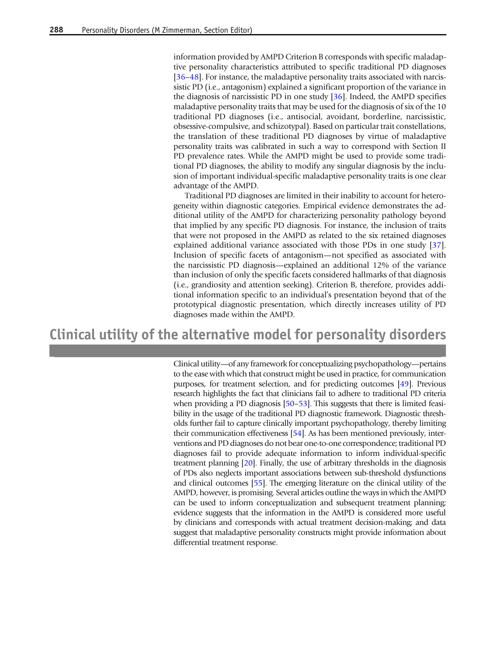information provided by AMPD Criterion B corresponds with specific maladaptive personality characteristics attributed to specific traditional PD diagnoses [[36](#page-12-0)–[48\]](#page-12-0). For instance, the maladaptive personality traits associated with narcissistic PD (i.e., antagonism) explained a significant proportion of the variance in the diagnosis of narcissistic PD in one study [\[36\]](#page-12-0). Indeed, the AMPD specifies maladaptive personality traits that may be used for the diagnosis of six of the 10 traditional PD diagnoses (i.e., antisocial, avoidant, borderline, narcissistic, obsessive-compulsive, and schizotypal). Based on particular trait constellations, the translation of these traditional PD diagnoses by virtue of maladaptive personality traits was calibrated in such a way to correspond with Section II PD prevalence rates. While the AMPD might be used to provide some traditional PD diagnoses, the ability to modify any singular diagnosis by the inclusion of important individual-specific maladaptive personality traits is one clear advantage of the AMPD.

Traditional PD diagnoses are limited in their inability to account for heterogeneity within diagnostic categories. Empirical evidence demonstrates the additional utility of the AMPD for characterizing personality pathology beyond that implied by any specific PD diagnosis. For instance, the inclusion of traits that were not proposed in the AMPD as related to the six retained diagnoses explained additional variance associated with those PDs in one study [\[37](#page-12-0)]. Inclusion of specific facets of antagonism—not specified as associated with the narcissistic PD diagnosis—explained an additional 12% of the variance than inclusion of only the specific facets considered hallmarks of that diagnosis (i.e., grandiosity and attention seeking). Criterion B, therefore, provides additional information specific to an individual's presentation beyond that of the prototypical diagnostic presentation, which directly increases utility of PD diagnoses made within the AMPD.

### Clinical utility of the alternative model for personality disorders

Clinical utility—of any framework for conceptualizing psychopathology—pertains to the ease with which that construct might be used in practice, for communication purposes, for treatment selection, and for predicting outcomes [[49](#page-12-0)]. Previous research highlights the fact that clinicians fail to adhere to traditional PD criteria when providing a PD diagnosis [\[50](#page-12-0)–[53](#page-12-0)]. This suggests that there is limited feasibility in the usage of the traditional PD diagnostic framework. Diagnostic thresholds further fail to capture clinically important psychopathology, thereby limiting their communication effectiveness [\[54\]](#page-12-0). As has been mentioned previously, interventions and PD diagnoses do not bear one-to-one correspondence; traditional PD diagnoses fail to provide adequate information to inform individual-specific treatment planning [\[20\]](#page-11-0). Finally, the use of arbitrary thresholds in the diagnosis of PDs also neglects important associations between sub-threshold dysfunctions and clinical outcomes [\[55\]](#page-12-0). The emerging literature on the clinical utility of the AMPD, however, is promising. Several articles outline the ways in which the AMPD can be used to inform conceptualization and subsequent treatment planning; evidence suggests that the information in the AMPD is considered more useful by clinicians and corresponds with actual treatment decision-making; and data suggest that maladaptive personality constructs might provide information about differential treatment response.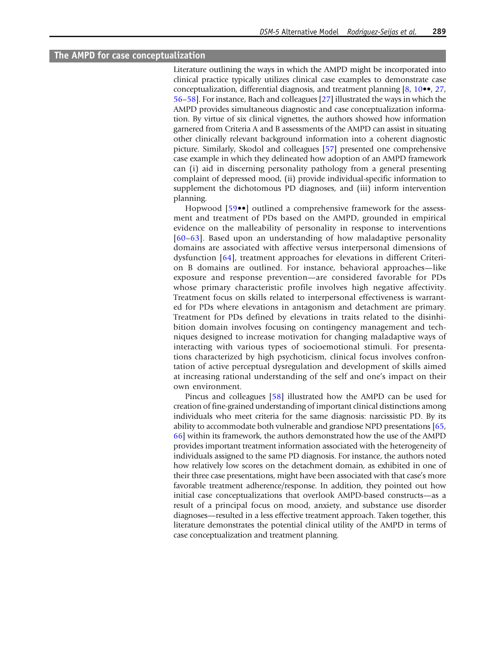### The AMPD for case conceptualization

Literature outlining the ways in which the AMPD might be incorporated into clinical practice typically utilizes clinical case examples to demonstrate case conceptualization, differential diagnosis, and treatment planning [\[8,](#page-11-0) [10](#page-11-0)••, [27](#page-11-0), [56](#page-12-0)–[58](#page-12-0)]. For instance, Bach and colleagues [\[27\]](#page-11-0) illustrated the ways in which the AMPD provides simultaneous diagnostic and case conceptualization information. By virtue of six clinical vignettes, the authors showed how information garnered from Criteria A and B assessments of the AMPD can assist in situating other clinically relevant background information into a coherent diagnostic picture. Similarly, Skodol and colleagues [\[57\]](#page-12-0) presented one comprehensive case example in which they delineated how adoption of an AMPD framework can (i) aid in discerning personality pathology from a general presenting complaint of depressed mood, (ii) provide individual-specific information to supplement the dichotomous PD diagnoses, and (iii) inform intervention planning.

Hopwood [\[59](#page-13-0)••] outlined a comprehensive framework for the assessment and treatment of PDs based on the AMPD, grounded in empirical evidence on the malleability of personality in response to interventions [[60](#page-13-0)–[63\]](#page-13-0). Based upon an understanding of how maladaptive personality domains are associated with affective versus interpersonal dimensions of dysfunction [\[64\]](#page-13-0), treatment approaches for elevations in different Criterion B domains are outlined. For instance, behavioral approaches—like exposure and response prevention—are considered favorable for PDs whose primary characteristic profile involves high negative affectivity. Treatment focus on skills related to interpersonal effectiveness is warranted for PDs where elevations in antagonism and detachment are primary. Treatment for PDs defined by elevations in traits related to the disinhibition domain involves focusing on contingency management and techniques designed to increase motivation for changing maladaptive ways of interacting with various types of socioemotional stimuli. For presentations characterized by high psychoticism, clinical focus involves confrontation of active perceptual dysregulation and development of skills aimed at increasing rational understanding of the self and one's impact on their own environment.

Pincus and colleagues [\[58](#page-12-0)] illustrated how the AMPD can be used for creation of fine-grained understanding of important clinical distinctions among individuals who meet criteria for the same diagnosis: narcissistic PD. By its ability to accommodate both vulnerable and grandiose NPD presentations [[65](#page-13-0), [66](#page-13-0)] within its framework, the authors demonstrated how the use of the AMPD provides important treatment information associated with the heterogeneity of individuals assigned to the same PD diagnosis. For instance, the authors noted how relatively low scores on the detachment domain, as exhibited in one of their three case presentations, might have been associated with that case's more favorable treatment adherence/response. In addition, they pointed out how initial case conceptualizations that overlook AMPD-based constructs—as a result of a principal focus on mood, anxiety, and substance use disorder diagnoses—resulted in a less effective treatment approach. Taken together, this literature demonstrates the potential clinical utility of the AMPD in terms of case conceptualization and treatment planning.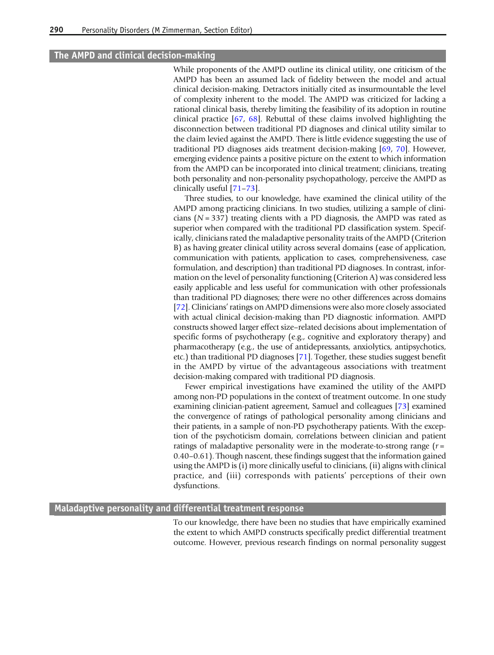### The AMPD and clinical decision-making

While proponents of the AMPD outline its clinical utility, one criticism of the AMPD has been an assumed lack of fidelity between the model and actual clinical decision-making. Detractors initially cited as insurmountable the level of complexity inherent to the model. The AMPD was criticized for lacking a rational clinical basis, thereby limiting the feasibility of its adoption in routine clinical practice [[67](#page-13-0), [68\]](#page-13-0). Rebuttal of these claims involved highlighting the disconnection between traditional PD diagnoses and clinical utility similar to the claim levied against the AMPD. There is little evidence suggesting the use of traditional PD diagnoses aids treatment decision-making [[69](#page-13-0), [70](#page-13-0)]. However, emerging evidence paints a positive picture on the extent to which information from the AMPD can be incorporated into clinical treatment; clinicians, treating both personality and non-personality psychopathology, perceive the AMPD as clinically useful [[71](#page-13-0)–[73\]](#page-13-0).

Three studies, to our knowledge, have examined the clinical utility of the AMPD among practicing clinicians. In two studies, utilizing a sample of clinicians ( $N = 337$ ) treating clients with a PD diagnosis, the AMPD was rated as superior when compared with the traditional PD classification system. Specifically, clinicians rated the maladaptive personality traits of the AMPD (Criterion B) as having greater clinical utility across several domains (ease of application, communication with patients, application to cases, comprehensiveness, case formulation, and description) than traditional PD diagnoses. In contrast, information on the level of personality functioning (Criterion A) was considered less easily applicable and less useful for communication with other professionals than traditional PD diagnoses; there were no other differences across domains [[72](#page-13-0)]. Clinicians' ratings on AMPD dimensions were also more closely associated with actual clinical decision-making than PD diagnostic information. AMPD constructs showed larger effect size–related decisions about implementation of specific forms of psychotherapy (e.g., cognitive and exploratory therapy) and pharmacotherapy (e.g., the use of antidepressants, anxiolytics, antipsychotics, etc.) than traditional PD diagnoses [\[71](#page-13-0)]. Together, these studies suggest benefit in the AMPD by virtue of the advantageous associations with treatment decision-making compared with traditional PD diagnosis.

Fewer empirical investigations have examined the utility of the AMPD among non-PD populations in the context of treatment outcome. In one study examining clinician-patient agreement, Samuel and colleagues [[73](#page-13-0)] examined the convergence of ratings of pathological personality among clinicians and their patients, in a sample of non-PD psychotherapy patients. With the exception of the psychoticism domain, correlations between clinician and patient ratings of maladaptive personality were in the moderate-to-strong range  $(r =$ 0.40–0.61). Though nascent, these findings suggest that the information gained using the AMPD is (i) more clinically useful to clinicians, (ii) aligns with clinical practice, and (iii) corresponds with patients' perceptions of their own dysfunctions.

### Maladaptive personality and differential treatment response

To our knowledge, there have been no studies that have empirically examined the extent to which AMPD constructs specifically predict differential treatment outcome. However, previous research findings on normal personality suggest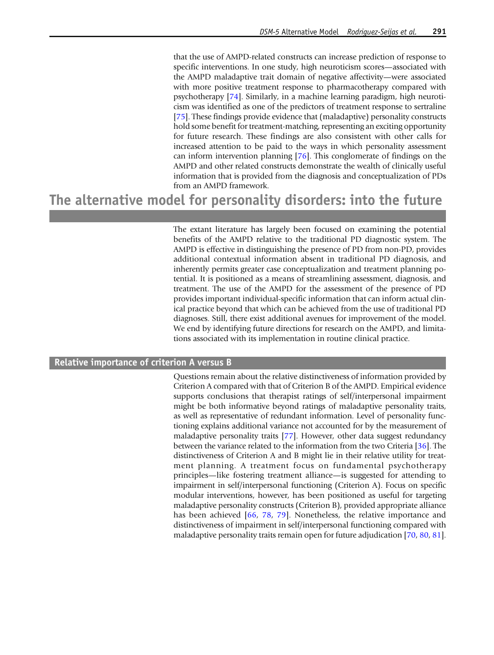that the use of AMPD-related constructs can increase prediction of response to specific interventions. In one study, high neuroticism scores—associated with the AMPD maladaptive trait domain of negative affectivity—were associated with more positive treatment response to pharmacotherapy compared with psychotherapy [[74\]](#page-13-0). Similarly, in a machine learning paradigm, high neuroticism was identified as one of the predictors of treatment response to sertraline [[75](#page-13-0)]. These findings provide evidence that (maladaptive) personality constructs hold some benefit for treatment-matching, representing an exciting opportunity for future research. These findings are also consistent with other calls for increased attention to be paid to the ways in which personality assessment can inform intervention planning [\[76\]](#page-13-0). This conglomerate of findings on the AMPD and other related constructs demonstrate the wealth of clinically useful information that is provided from the diagnosis and conceptualization of PDs from an AMPD framework.

# The alternative model for personality disorders: into the future

The extant literature has largely been focused on examining the potential benefits of the AMPD relative to the traditional PD diagnostic system. The AMPD is effective in distinguishing the presence of PD from non-PD, provides additional contextual information absent in traditional PD diagnosis, and inherently permits greater case conceptualization and treatment planning potential. It is positioned as a means of streamlining assessment, diagnosis, and treatment. The use of the AMPD for the assessment of the presence of PD provides important individual-specific information that can inform actual clinical practice beyond that which can be achieved from the use of traditional PD diagnoses. Still, there exist additional avenues for improvement of the model. We end by identifying future directions for research on the AMPD, and limitations associated with its implementation in routine clinical practice.

### Relative importance of criterion A versus B

Questions remain about the relative distinctiveness of information provided by Criterion A compared with that of Criterion B of the AMPD. Empirical evidence supports conclusions that therapist ratings of self/interpersonal impairment might be both informative beyond ratings of maladaptive personality traits, as well as representative of redundant information. Level of personality functioning explains additional variance not accounted for by the measurement of maladaptive personality traits [[77\]](#page-13-0). However, other data suggest redundancy between the variance related to the information from the two Criteria [[36](#page-12-0)]. The distinctiveness of Criterion A and B might lie in their relative utility for treatment planning. A treatment focus on fundamental psychotherapy principles—like fostering treatment alliance—is suggested for attending to impairment in self/interpersonal functioning (Criterion A). Focus on specific modular interventions, however, has been positioned as useful for targeting maladaptive personality constructs (Criterion B), provided appropriate alliance has been achieved [\[66](#page-13-0), [78](#page-13-0), [79](#page-13-0)]. Nonetheless, the relative importance and distinctiveness of impairment in self/interpersonal functioning compared with maladaptive personality traits remain open for future adjudication [\[70](#page-13-0), [80,](#page-13-0) [81](#page-13-0)].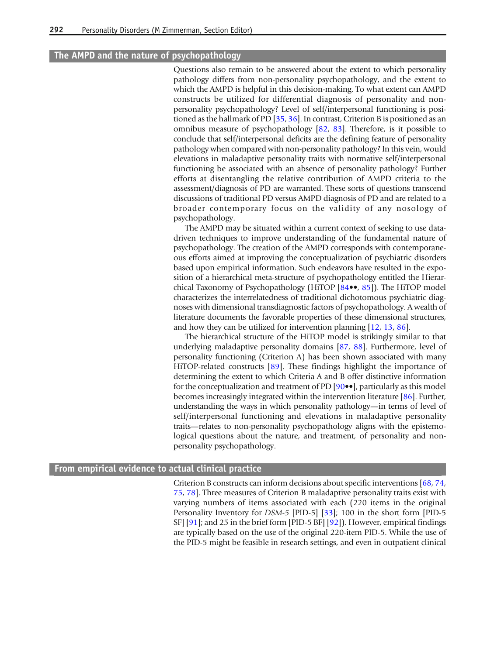### The AMPD and the nature of psychopathology

Questions also remain to be answered about the extent to which personality pathology differs from non-personality psychopathology, and the extent to which the AMPD is helpful in this decision-making. To what extent can AMPD constructs be utilized for differential diagnosis of personality and nonpersonality psychopathology? Level of self/interpersonal functioning is positioned as the hallmark of PD [[35](#page-12-0), [36](#page-12-0)]. In contrast, Criterion B is positioned as an omnibus measure of psychopathology [\[82](#page-13-0), [83\]](#page-13-0). Therefore, is it possible to conclude that self/interpersonal deficits are the defining feature of personality pathology when compared with non-personality pathology? In this vein, would elevations in maladaptive personality traits with normative self/interpersonal functioning be associated with an absence of personality pathology? Further efforts at disentangling the relative contribution of AMPD criteria to the assessment/diagnosis of PD are warranted. These sorts of questions transcend discussions of traditional PD versus AMPD diagnosis of PD and are related to a broader contemporary focus on the validity of any nosology of psychopathology.

The AMPD may be situated within a current context of seeking to use datadriven techniques to improve understanding of the fundamental nature of psychopathology. The creation of the AMPD corresponds with contemporaneous efforts aimed at improving the conceptualization of psychiatric disorders based upon empirical information. Such endeavors have resulted in the exposition of a hierarchical meta-structure of psychopathology entitled the Hierarchical Taxonomy of Psychopathology (HiTOP [\[84](#page-13-0)••, [85](#page-13-0)]). The HiTOP model characterizes the interrelatedness of traditional dichotomous psychiatric diagnoses with dimensional transdiagnostic factors of psychopathology. A wealth of literature documents the favorable properties of these dimensional structures, and how they can be utilized for intervention planning [[12,](#page-11-0) [13](#page-11-0), [86](#page-13-0)].

The hierarchical structure of the HiTOP model is strikingly similar to that underlying maladaptive personality domains [\[87](#page-14-0), [88](#page-14-0)]. Furthermore, level of personality functioning (Criterion A) has been shown associated with many HiTOP-related constructs [\[89](#page-14-0)]. These findings highlight the importance of determining the extent to which Criteria A and B offer distinctive information for the conceptualization and treatment of PD [\[90](#page-14-0)••], particularly as this model becomes increasingly integrated within the intervention literature [\[86](#page-13-0)]. Further, understanding the ways in which personality pathology—in terms of level of self/interpersonal functioning and elevations in maladaptive personality traits—relates to non-personality psychopathology aligns with the epistemological questions about the nature, and treatment, of personality and nonpersonality psychopathology.

#### From empirical evidence to actual clinical practice

Criterion B constructs can inform decisions about specific interventions [\[68](#page-13-0), [74](#page-13-0), [75](#page-13-0), [78\]](#page-13-0). Three measures of Criterion B maladaptive personality traits exist with varying numbers of items associated with each (220 items in the original Personality Inventory for DSM-5 [PID-5] [[33\]](#page-12-0); 100 in the short form [PID-5 SF] [[91\]](#page-14-0); and 25 in the brief form [PID-5 BF] [\[92](#page-14-0)]). However, empirical findings are typically based on the use of the original 220-item PID-5. While the use of the PID-5 might be feasible in research settings, and even in outpatient clinical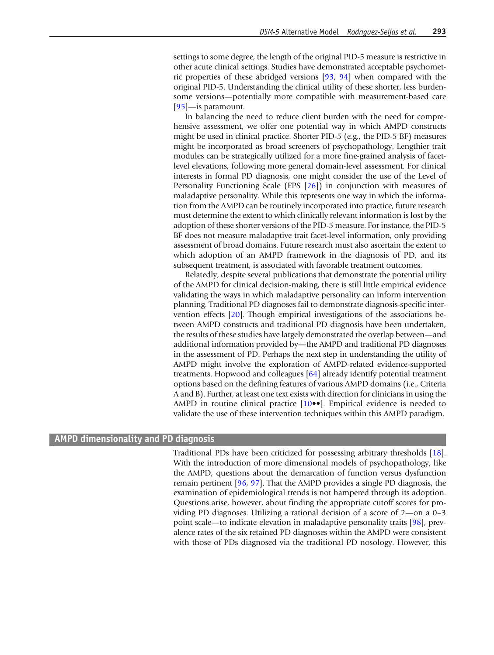settings to some degree, the length of the original PID-5 measure is restrictive in other acute clinical settings. Studies have demonstrated acceptable psychometric properties of these abridged versions [[93,](#page-14-0) [94](#page-14-0)] when compared with the original PID-5. Understanding the clinical utility of these shorter, less burdensome versions—potentially more compatible with measurement-based care [[95](#page-14-0)]—is paramount.

In balancing the need to reduce client burden with the need for comprehensive assessment, we offer one potential way in which AMPD constructs might be used in clinical practice. Shorter PID-5 (e.g., the PID-5 BF) measures might be incorporated as broad screeners of psychopathology. Lengthier trait modules can be strategically utilized for a more fine-grained analysis of facetlevel elevations, following more general domain-level assessment. For clinical interests in formal PD diagnosis, one might consider the use of the Level of Personality Functioning Scale (FPS [\[26](#page-11-0)]) in conjunction with measures of maladaptive personality. While this represents one way in which the information from the AMPD can be routinely incorporated into practice, future research must determine the extent to which clinically relevant information is lost by the adoption of these shorter versions of the PID-5 measure. For instance, the PID-5 BF does not measure maladaptive trait facet-level information, only providing assessment of broad domains. Future research must also ascertain the extent to which adoption of an AMPD framework in the diagnosis of PD, and its subsequent treatment, is associated with favorable treatment outcomes.

Relatedly, despite several publications that demonstrate the potential utility of the AMPD for clinical decision-making, there is still little empirical evidence validating the ways in which maladaptive personality can inform intervention planning. Traditional PD diagnoses fail to demonstrate diagnosis-specific intervention effects [\[20](#page-11-0)]. Though empirical investigations of the associations between AMPD constructs and traditional PD diagnosis have been undertaken, the results of these studies have largely demonstrated the overlap between—and additional information provided by—the AMPD and traditional PD diagnoses in the assessment of PD. Perhaps the next step in understanding the utility of AMPD might involve the exploration of AMPD-related evidence-supported treatments. Hopwood and colleagues [\[64](#page-13-0)] already identify potential treatment options based on the defining features of various AMPD domains (i.e., Criteria A and B). Further, at least one text exists with direction for clinicians in using the AMPD in routine clinical practice [\[10](#page-11-0)••]. Empirical evidence is needed to validate the use of these intervention techniques within this AMPD paradigm.

#### AMPD dimensionality and PD diagnosis

Traditional PDs have been criticized for possessing arbitrary thresholds [\[18](#page-11-0)]. With the introduction of more dimensional models of psychopathology, like the AMPD, questions about the demarcation of function versus dysfunction remain pertinent [\[96](#page-14-0), [97](#page-14-0)]. That the AMPD provides a single PD diagnosis, the examination of epidemiological trends is not hampered through its adoption. Questions arise, however, about finding the appropriate cutoff scores for providing PD diagnoses. Utilizing a rational decision of a score of 2—on a 0–3 point scale—to indicate elevation in maladaptive personality traits [\[98\]](#page-14-0), prevalence rates of the six retained PD diagnoses within the AMPD were consistent with those of PDs diagnosed via the traditional PD nosology. However, this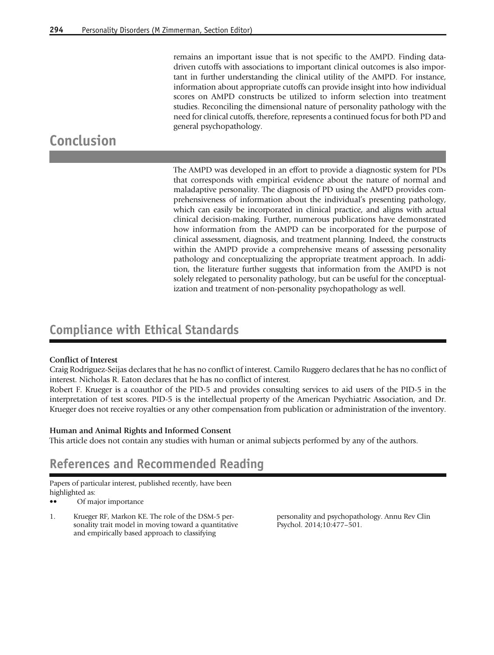remains an important issue that is not specific to the AMPD. Finding datadriven cutoffs with associations to important clinical outcomes is also important in further understanding the clinical utility of the AMPD. For instance, information about appropriate cutoffs can provide insight into how individual scores on AMPD constructs be utilized to inform selection into treatment studies. Reconciling the dimensional nature of personality pathology with the need for clinical cutoffs, therefore, represents a continued focus for both PD and general psychopathology.

# <span id="page-10-0"></span>Conclusion

The AMPD was developed in an effort to provide a diagnostic system for PDs that corresponds with empirical evidence about the nature of normal and maladaptive personality. The diagnosis of PD using the AMPD provides comprehensiveness of information about the individual's presenting pathology, which can easily be incorporated in clinical practice, and aligns with actual clinical decision-making. Further, numerous publications have demonstrated how information from the AMPD can be incorporated for the purpose of clinical assessment, diagnosis, and treatment planning. Indeed, the constructs within the AMPD provide a comprehensive means of assessing personality pathology and conceptualizing the appropriate treatment approach. In addition, the literature further suggests that information from the AMPD is not solely relegated to personality pathology, but can be useful for the conceptualization and treatment of non-personality psychopathology as well.

### Compliance with Ethical Standards

### Conflict of Interest

Craig Rodriguez-Seijas declares that he has no conflict of interest. Camilo Ruggero declares that he has no conflict of interest. Nicholas R. Eaton declares that he has no conflict of interest.

Robert F. Krueger is a coauthor of the PID-5 and provides consulting services to aid users of the PID-5 in the interpretation of test scores. PID-5 is the intellectual property of the American Psychiatric Association, and Dr. Krueger does not receive royalties or any other compensation from publication or administration of the inventory.

### Human and Animal Rights and Informed Consent

This article does not contain any studies with human or animal subjects performed by any of the authors.

### References and Recommended Reading

Papers of particular interest, published recently, have been highlighted as:

•• Of major importance

1. Krueger RF, Markon KE. The role of the DSM-5 personality trait model in moving toward a quantitative and empirically based approach to classifying

personality and psychopathology. Annu Rev Clin Psychol. 2014;10:477–501.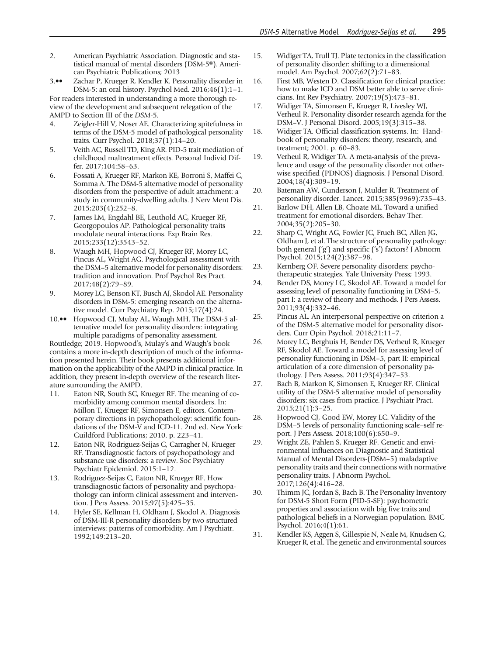- <span id="page-11-0"></span>2. American Psychiatric Association. Diagnostic and statistical manual of mental disorders (DSM-5®). American Psychiatric Publications; 2013
- 3.•• Zachar P, Krueger R, Kendler K. Personality disorder in DSM-5: an oral history. Psychol Med. 2016;46(1):1–1.

For readers interested in understanding a more thorough review of the development and subsequent relegation of the AMPD to Section III of the DSM-5.

- 4. Zeigler-Hill V, Noser AE. Characterizing spitefulness in terms of the DSM-5 model of pathological personality traits. Curr Psychol. 2018;37(1):14–20.
- 5. Veith AC, Russell TD, King AR. PID-5 trait mediation of childhood maltreatment effects. Personal Individ Differ. 2017;104:58–63.
- 6. Fossati A, Krueger RF, Markon KE, Borroni S, Maffei C, Somma A. The DSM-5 alternative model of personality disorders from the perspective of adult attachment: a study in community-dwelling adults. J Nerv Ment Dis. 2015;203(4):252–8.
- 7. James LM, Engdahl BE, Leuthold AC, Krueger RF, Georgopoulos AP. Pathological personality traits modulate neural interactions. Exp Brain Res. 2015;233(12):3543–52.
- 8. Waugh MH, Hopwood CJ, Krueger RF, Morey LC, Pincus AL, Wright AG. Psychological assessment with the DSM–5 alternative model for personality disorders: tradition and innovation. Prof Psychol Res Pract. 2017;48(2):79–89.
- 9. Morey LC, Benson KT, Busch AJ, Skodol AE. Personality disorders in DSM-5: emerging research on the alternative model. Curr Psychiatry Rep. 2015;17(4):24.
- 10.•• Hopwood CJ, Mulay AL, Waugh MH. The DSM-5 alternative model for personality disorders: integrating multiple paradigms of personality assessment.

Routledge; 2019. Hopwood's, Mulay's and Waugh's book contains a more in-depth description of much of the information presented herein. Their book presents additional information on the applicability of the AMPD in clinical practice. In addition, they present in-depth overview of the research literature surrounding the AMPD.

- 11. Eaton NR, South SC, Krueger RF. The meaning of comorbidity among common mental disorders. In: Millon T, Krueger RF, Simonsen E, editors. Contemporary directions in psychopathology: scientific foundations of the DSM-V and ICD-11. 2nd ed. New York: Guildford Publications; 2010. p. 223–41.
- 12. Eaton NR, Rodriguez-Seijas C, Carragher N, Krueger RF. Transdiagnostic factors of psychopathology and substance use disorders: a review. Soc Psychiatry Psychiatr Epidemiol. 2015:1–12.
- 13. Rodriguez-Seijas C, Eaton NR, Krueger RF. How transdiagnostic factors of personality and psychopathology can inform clinical assessment and intervention. J Pers Assess. 2015;97(5):425–35.
- 14. Hyler SE, Kellman H, Oldham J, Skodol A. Diagnosis of DSM-III-R personality disorders by two structured interviews: patterns of comorbidity. Am J Psychiatr. 1992;149:213–20.
- 15. Widiger TA, Trull TJ. Plate tectonics in the classification of personality disorder: shifting to a dimensional model. Am Psychol. 2007;62(2):71–83.
- 16. First MB, Westen D. Classification for clinical practice: how to make ICD and DSM better able to serve clinicians. Int Rev Psychiatry. 2007;19(5):473–81.
- 17. Widiger TA, Simonsen E, Krueger R, Livesley WJ, Verheul R. Personality disorder research agenda for the DSM–V. J Personal Disord. 2005;19(3):315–38.
- 18. Widiger TA. Official classification systems. In: Handbook of personality disorders: theory, research, and treatment; 2001. p. 60–83.
- 19. Verheul R, Widiger TA. A meta-analysis of the prevalence and usage of the personality disorder not otherwise specified (PDNOS) diagnosis. J Personal Disord. 2004;18(4):309–19.
- 20. Bateman AW, Gunderson J, Mulder R. Treatment of personality disorder. Lancet. 2015;385(9969):735–43.
- 21. Barlow DH, Allen LB, Choate ML. Toward a unified treatment for emotional disorders. Behav Ther. 2004;35(2):205–30.
- 22. Sharp C, Wright AG, Fowler JC, Frueh BC, Allen JG, Oldham J, et al. The structure of personality pathology: both general ('g') and specific ('s') factors? J Abnorm Psychol. 2015;124(2):387–98.
- 23. Kernberg OF. Severe personality disorders: psychotherapeutic strategies. Yale University Press; 1993.
- 24. Bender DS, Morey LC, Skodol AE. Toward a model for assessing level of personality functioning in DSM–5, part I: a review of theory and methods. J Pers Assess. 2011;93(4):332–46.
- 25. Pincus AL. An interpersonal perspective on criterion a of the DSM-5 alternative model for personality disorders. Curr Opin Psychol. 2018;21:11–7.
- 26. Morey LC, Berghuis H, Bender DS, Verheul R, Krueger RF, Skodol AE. Toward a model for assessing level of personality functioning in DSM–5, part II: empirical articulation of a core dimension of personality pathology. J Pers Assess. 2011;93(4):347–53.
- 27. Bach B, Markon K, Simonsen E, Krueger RF. Clinical utility of the DSM-5 alternative model of personality disorders: six cases from practice. J Psychiatr Pract. 2015;21(1):3–25.
- 28. Hopwood CJ, Good EW, Morey LC. Validity of the DSM–5 levels of personality functioning scale–self report. J Pers Assess. 2018;100(6):650–9.
- 29. Wright ZE, Pahlen S, Krueger RF. Genetic and environmental influences on Diagnostic and Statistical Manual of Mental Disorders-(DSM–5) maladaptive personality traits and their connections with normative personality traits. J Abnorm Psychol. 2017;126(4):416–28.
- 30. Thimm JC, Jordan S, Bach B. The Personality Inventory for DSM-5 Short Form (PID-5-SF): psychometric properties and association with big five traits and pathological beliefs in a Norwegian population. BMC Psychol. 2016;4(1):61.
- 31. Kendler KS, Aggen S, Gillespie N, Neale M, Knudsen G, Krueger R, et al. The genetic and environmental sources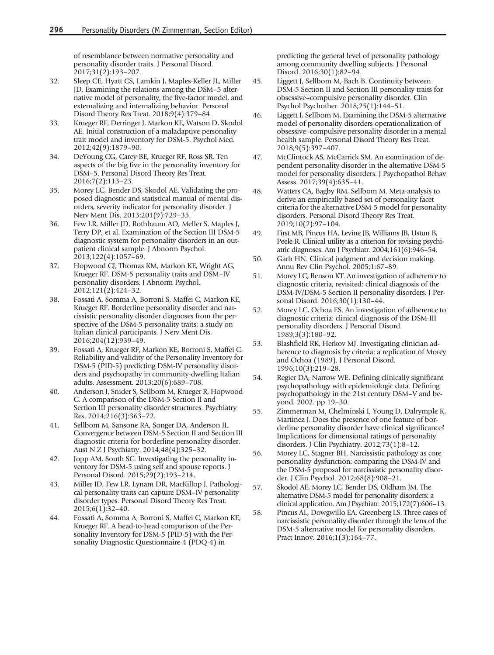<span id="page-12-0"></span>of resemblance between normative personality and personality disorder traits. J Personal Disord. 2017;31(2):193–207.

- 32. Sleep CE, Hyatt CS, Lamkin J, Maples-Keller JL, Miller JD. Examining the relations among the DSM–5 alternative model of personality, the five-factor model, and externalizing and internalizing behavior. Personal Disord Theory Res Treat. 2018;9(4):379–84.
- 33. Krueger RF, Derringer J, Markon KE, Watson D, Skodol AE. Initial construction of a maladaptive personality trait model and inventory for DSM-5. Psychol Med. 2012;42(9):1879–90.
- 34. DeYoung CG, Carey BE, Krueger RF, Ross SR. Ten aspects of the big five in the personality inventory for DSM–5. Personal Disord Theory Res Treat. 2016;7(2):113–23.
- 35. Morey LC, Bender DS, Skodol AE. Validating the proposed diagnostic and statistical manual of mental disorders, severity indicator for personality disorder. J Nerv Ment Dis. 2013;201(9):729–35.
- 36. Few LR, Miller JD, Rothbaum AO, Meller S, Maples J, Terry DP, et al. Examination of the Section III DSM-5 diagnostic system for personality disorders in an outpatient clinical sample. J Abnorm Psychol. 2013;122(4):1057–69.
- 37. Hopwood CJ, Thomas KM, Markon KE, Wright AG, Krueger RF. DSM-5 personality traits and DSM–IV personality disorders. J Abnorm Psychol. 2012;121(2):424–32.
- 38. Fossati A, Somma A, Borroni S, Maffei C, Markon KE, Krueger RF. Borderline personality disorder and narcissistic personality disorder diagnoses from the perspective of the DSM-5 personality traits: a study on Italian clinical participants. J Nerv Ment Dis. 2016;204(12):939–49.
- 39. Fossati A, Krueger RF, Markon KE, Borroni S, Maffei C. Reliability and validity of the Personality Inventory for DSM-5 (PID-5) predicting DSM-IV personality disorders and psychopathy in community-dwelling Italian adults. Assessment. 2013;20(6):689–708.
- 40. Anderson J, Snider S, Sellbom M, Krueger R, Hopwood C. A comparison of the DSM-5 Section II and Section III personality disorder structures. Psychiatry Res. 2014;216(3):363–72.
- 41. Sellbom M, Sansone RA, Songer DA, Anderson JL. Convergence between DSM-5 Section II and Section III diagnostic criteria for borderline personality disorder. Aust N Z J Psychiatry. 2014;48(4):325–32.
- 42. Jopp AM, South SC. Investigating the personality inventory for DSM-5 using self and spouse reports. J Personal Disord. 2015;29(2):193–214.
- 43. Miller JD, Few LR, Lynam DR, MacKillop J. Pathological personality traits can capture DSM–IV personality disorder types. Personal Disord Theory Res Treat. 2015;6(1):32–40.
- 44. Fossati A, Somma A, Borroni S, Maffei C, Markon KE, Krueger RF. A head-to-head comparison of the Personality Inventory for DSM-5 (PID-5) with the Personality Diagnostic Questionnaire-4 (PDQ-4) in

predicting the general level of personality pathology among community dwelling subjects. J Personal Disord. 2016;30(1):82–94.

- 45. Liggett J, Sellbom M, Bach B. Continuity between DSM-5 Section II and Section III personality traits for obsessive–compulsive personality disorder. Clin Psychol Psychother. 2018;25(1):144–51.
- 46. Liggett J, Sellbom M. Examining the DSM-5 alternative model of personality disorders operationalization of obsessive–compulsive personality disorder in a mental health sample. Personal Disord Theory Res Treat. 2018;9(5):397–407.
- 47. McClintock AS, McCarrick SM. An examination of dependent personality disorder in the alternative DSM-5 model for personality disorders. J Psychopathol Behav Assess. 2017;39(4):635–41.
- 48. Watters CA, Bagby RM, Sellbom M. Meta-analysis to derive an empirically based set of personality facet criteria for the alternative DSM-5 model for personality disorders. Personal Disord Theory Res Treat. 2019;10(2):97–104.
- 49. First MB, Pincus HA, Levine JB, Williams JB, Ustun B, Peele R. Clinical utility as a criterion for revising psychiatric diagnoses. Am J Psychiatr. 2004;161(6):946–54.
- 50. Garb HN. Clinical judgment and decision making. Annu Rev Clin Psychol. 2005;1:67–89.
- 51. Morey LC, Benson KT. An investigation of adherence to diagnostic criteria, revisited: clinical diagnosis of the DSM-IV/DSM-5 Section II personality disorders. J Personal Disord. 2016;30(1):130–44.
- 52. Morey LC, Ochoa ES. An investigation of adherence to diagnostic criteria: clinical diagnosis of the DSM-III personality disorders. J Personal Disord. 1989;3(3):180–92.
- 53. Blashfield RK, Herkov MJ. Investigating clinician adherence to diagnosis by criteria: a replication of Morey and Ochoa (1989). J Personal Disord. 1996;10(3):219–28.
- 54. Regier DA, Narrow WE. Defining clinically significant psychopathology with epidemiologic data. Defining psychopathology in the 21st century DSM–V and beyond. 2002. pp 19–30.
- 55. Zimmerman M, Chelminski I, Young D, Dalrymple K, Martinez J. Does the presence of one feature of borderline personality disorder have clinical significance? Implications for dimensional ratings of personality disorders. J Clin Psychiatry. 2012;73(1):8–12.
- 56. Morey LC, Stagner BH. Narcissistic pathology as core personality dysfunction: comparing the DSM-IV and the DSM-5 proposal for narcissistic personality disorder. J Clin Psychol. 2012;68(8):908–21.
- 57. Skodol AE, Morey LC, Bender DS, Oldham JM. The alternative DSM-5 model for personality disorders: a clinical application. Am J Psychiatr. 2015;172(7):606–13.
- 58. Pincus AL, Dowgwillo EA, Greenberg LS. Three cases of narcissistic personality disorder through the lens of the DSM-5 alternative model for personality disorders. Pract Innov. 2016;1(3):164–77.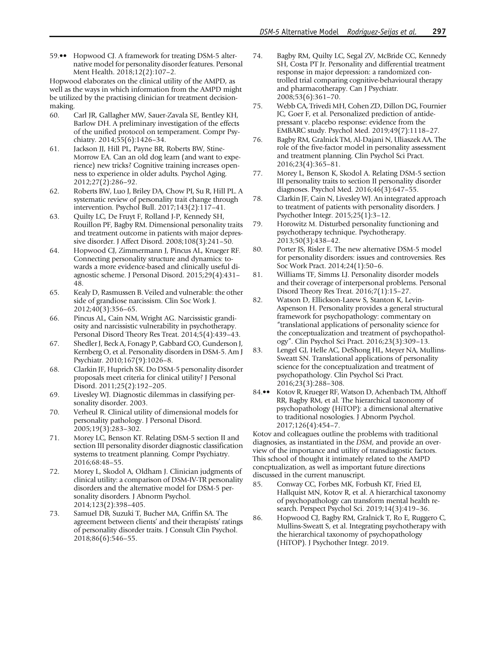<span id="page-13-0"></span>59.•• Hopwood CJ. A framework for treating DSM-5 alternative model for personality disorder features. Personal Ment Health. 2018;12(2):107–2.

Hopwood elaborates on the clinical utility of the AMPD, as well as the ways in which information from the AMPD might be utilized by the practising clinician for treatment decisionmaking.

- 60. Carl JR, Gallagher MW, Sauer-Zavala SE, Bentley KH, Barlow DH. A preliminary investigation of the effects of the unified protocol on temperament. Compr Psychiatry. 2014;55(6):1426–34.
- 61. Jackson JJ, Hill PL, Payne BR, Roberts BW, Stine-Morrow EA. Can an old dog learn (and want to experience) new tricks? Cognitive training increases openness to experience in older adults. Psychol Aging. 2012;27(2):286–92.
- 62. Roberts BW, Luo J, Briley DA, Chow PI, Su R, Hill PL. A systematic review of personality trait change through intervention. Psychol Bull. 2017;143(2):117–41.
- 63. Quilty LC, De Fruyt F, Rolland J-P, Kennedy SH, Rouillon PF, Bagby RM. Dimensional personality traits and treatment outcome in patients with major depressive disorder. J Affect Disord. 2008;108(3):241–50.
- 64. Hopwood CJ, Zimmermann J, Pincus AL, Krueger RF. Connecting personality structure and dynamics: towards a more evidence-based and clinically useful diagnostic scheme. J Personal Disord. 2015;29(4):431– 48.
- 65. Kealy D, Rasmussen B. Veiled and vulnerable: the other side of grandiose narcissism. Clin Soc Work J. 2012;40(3):356–65.
- 66. Pincus AL, Cain NM, Wright AG. Narcissistic grandiosity and narcissistic vulnerability in psychotherapy. Personal Disord Theory Res Treat. 2014;5(4):439–43.
- 67. Shedler J, Beck A, Fonagy P, Gabbard GO, Gunderson J, Kernberg O, et al. Personality disorders in DSM-5. Am J Psychiatr. 2010;167(9):1026–8.
- 68. Clarkin JF, Huprich SK. Do DSM-5 personality disorder proposals meet criteria for clinical utility? J Personal Disord. 2011;25(2):192–205.
- 69. Livesley WJ. Diagnostic dilemmas in classifying personality disorder. 2003.
- 70. Verheul R. Clinical utility of dimensional models for personality pathology. J Personal Disord. 2005;19(3):283–302.
- 71. Morey LC, Benson KT. Relating DSM-5 section II and section III personality disorder diagnostic classification systems to treatment planning. Compr Psychiatry. 2016;68:48–55.
- 72. Morey L, Skodol A, Oldham J. Clinician judgments of clinical utility: a comparison of DSM-IV-TR personality disorders and the alternative model for DSM-5 personality disorders. J Abnorm Psychol. 2014;123(2):398–405.
- 73. Samuel DB, Suzuki T, Bucher MA, Griffin SA. The agreement between clients' and their therapists' ratings of personality disorder traits. J Consult Clin Psychol. 2018;86(6):546–55.
- 74. Bagby RM, Quilty LC, Segal ZV, McBride CC, Kennedy SH, Costa PT Jr. Personality and differential treatment response in major depression: a randomized controlled trial comparing cognitive-behavioural therapy and pharmacotherapy. Can J Psychiatr. 2008;53(6):361–70.
- 75. Webb CA, Trivedi MH, Cohen ZD, Dillon DG, Fournier JC, Goer F, et al. Personalized prediction of antidepressant v. placebo response: evidence from the EMBARC study. Psychol Med. 2019;49(7):1118–27.
- 76. Bagby RM, Gralnick TM, Al-Dajani N, Uliaszek AA. The role of the five-factor model in personality assessment and treatment planning. Clin Psychol Sci Pract. 2016;23(4):365–81.
- 77. Morey L, Benson K, Skodol A. Relating DSM-5 section III personality traits to section II personality disorder diagnoses. Psychol Med. 2016;46(3):647–55.
- 78. Clarkin JF, Cain N, Livesley WJ. An integrated approach to treatment of patients with personality disorders. J Psychother Integr. 2015;25(1):3–12.
- 79. Horowitz M. Disturbed personality functioning and psychotherapy technique. Psychotherapy. 2013;50(3):438–42.
- 80. Porter JS, Risler E. The new alternative DSM-5 model for personality disorders: issues and controversies. Res Soc Work Pract. 2014;24(1):50–6.
- 81. Williams TF, Simms LJ. Personality disorder models and their coverage of interpersonal problems. Personal Disord Theory Res Treat. 2016;7(1):15–27.
- 82. Watson D, Ellickson-Larew S, Stanton K, Levin-Aspenson H. Personality provides a general structural framework for psychopathology: commentary on "translational applications of personality science for the conceptualization and treatment of psychopathology". Clin Psychol Sci Pract. 2016;23(3):309–13.
- 83. Lengel GJ, Helle AC, DeShong HL, Meyer NA, Mullins-Sweatt SN. Translational applications of personality science for the conceptualization and treatment of psychopathology. Clin Psychol Sci Pract. 2016;23(3):288–308.
- 84.•• Kotov R, Krueger RF, Watson D, Achenbach TM, Althoff RR, Bagby RM, et al. The hierarchical taxonomy of psychopathology (HiTOP): a dimensional alternative to traditional nosologies. J Abnorm Psychol. 2017;126(4):454–7.

Kotov and colleagues outline the problems with traditional diagnosies, as instantiated in the DSM, and provide an overview of the importance and utility of transdiagostic factors. This school of thought it intimately related to the AMPD concptualization, as well as important future directions discussed in the current manuscript.

- 85. Conway CC, Forbes MK, Forbush KT, Fried EI, Hallquist MN, Kotov R, et al. A hierarchical taxonomy of psychopathology can transform mental health research. Perspect Psychol Sci. 2019;14(3):419–36.
- 86. Hopwood CJ, Bagby RM, Gralnick T, Ro E, Ruggero C, Mullins-Sweatt S, et al. Integrating psychotherapy with the hierarchical taxonomy of psychopathology (HiTOP). J Psychother Integr. 2019.